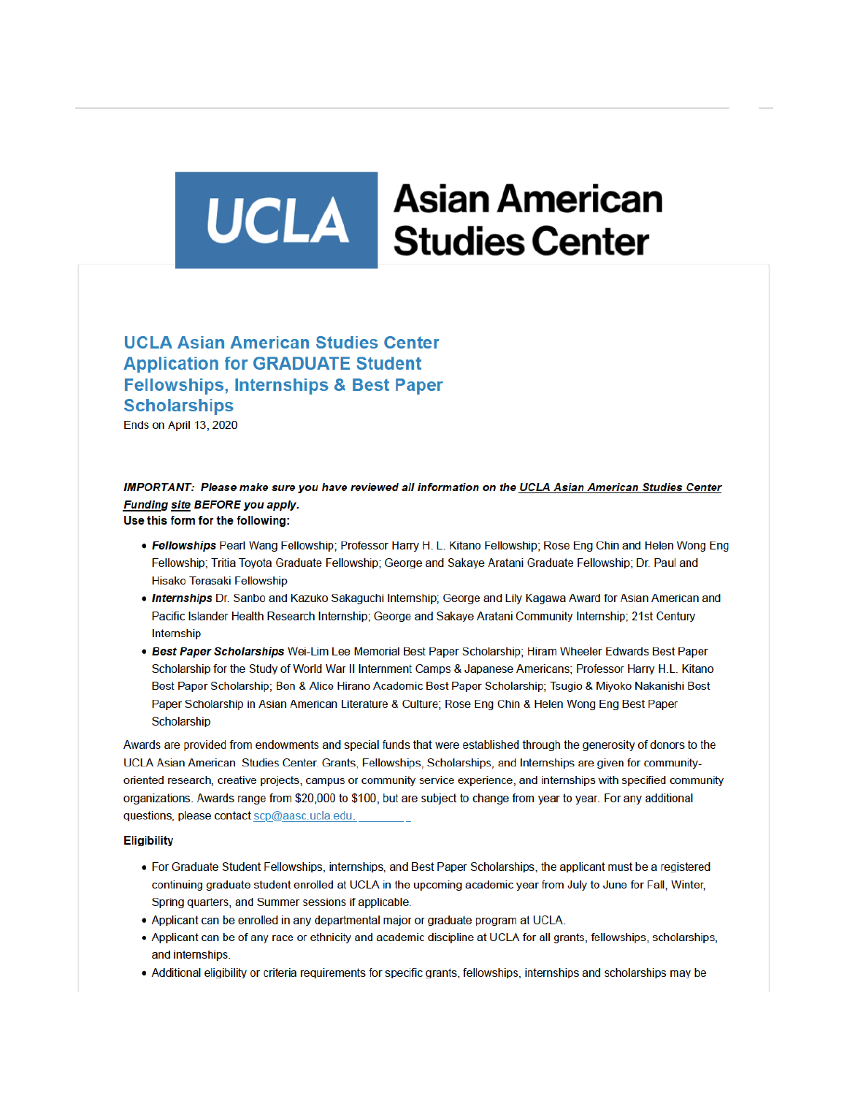# UCLA Studies Center **Asian American**

## **UCLA Asian American Studies Center Application for GRADUATE Student Fellowships, Internships & Best Paper Scholarships**

Ends on April 13, 2020

#### IMPORTANT: Please make sure you have reviewed all information on the UCLA Asian American Studies Center Funding site BEFORE you apply. Use this form for the following:

• Fellowships Pearl Wang Fellowship: Professor Harry H. L. Kitano Fellowship: Rose Eng Chin and Helen Wong Eng

- Fellowship; Tritia Toyota Graduate Fellowship; George and Sakaye Aratani Graduate Fellowship; Dr. Paul and Hisako Terasaki Fellowship
- . Internships Dr. Sanbo and Kazuko Sakaguchi Internship; George and Lily Kagawa Award for Asian American and Pacific Islander Health Research Internship; George and Sakaye Aratani Community Internship; 21st Century Internship
- Best Paper Scholarships Wei-Lim Lee Memorial Best Paper Scholarship: Hiram Wheeler Edwards Best Paper Scholarship for the Study of World War II Internment Camps & Japanese Americans; Professor Harry H.L. Kitano Best Paper Scholarship; Ben & Alice Hirano Academic Best Paper Scholarship; Tsugio & Miyoko Nakanishi Best Paper Scholarship in Asian American Literature & Culture; Rose Eng Chin & Helen Wong Eng Best Paper Scholarship

Awards are provided from endowments and special funds that were established through the generosity of donors to the UCLA Asian American Studies Center. Grants, Fellowships, Scholarships, and Internships are given for communityoriented research, creative projects, campus or community service experience, and internships with specified community organizations. Awards range from \$20,000 to \$100, but are subject to change from year to year. For any additional questions, please contact scp@aasc.ucla.edu.

#### **Eligibility**

- For Graduate Student Fellowships, internships, and Best Paper Scholarships, the applicant must be a registered continuing graduate student enrolled at UCLA in the upcoming academic year from July to June for Fall, Winter, Spring quarters, and Summer sessions if applicable.
- Applicant can be enrolled in any departmental major or graduate program at UCLA.
- Applicant can be of any race or ethnicity and academic discipline at UCLA for all grants, fellowships, scholarships, and internships.
- Additional eligibility or criteria requirements for specific grants, fellowships, internships and scholarships may be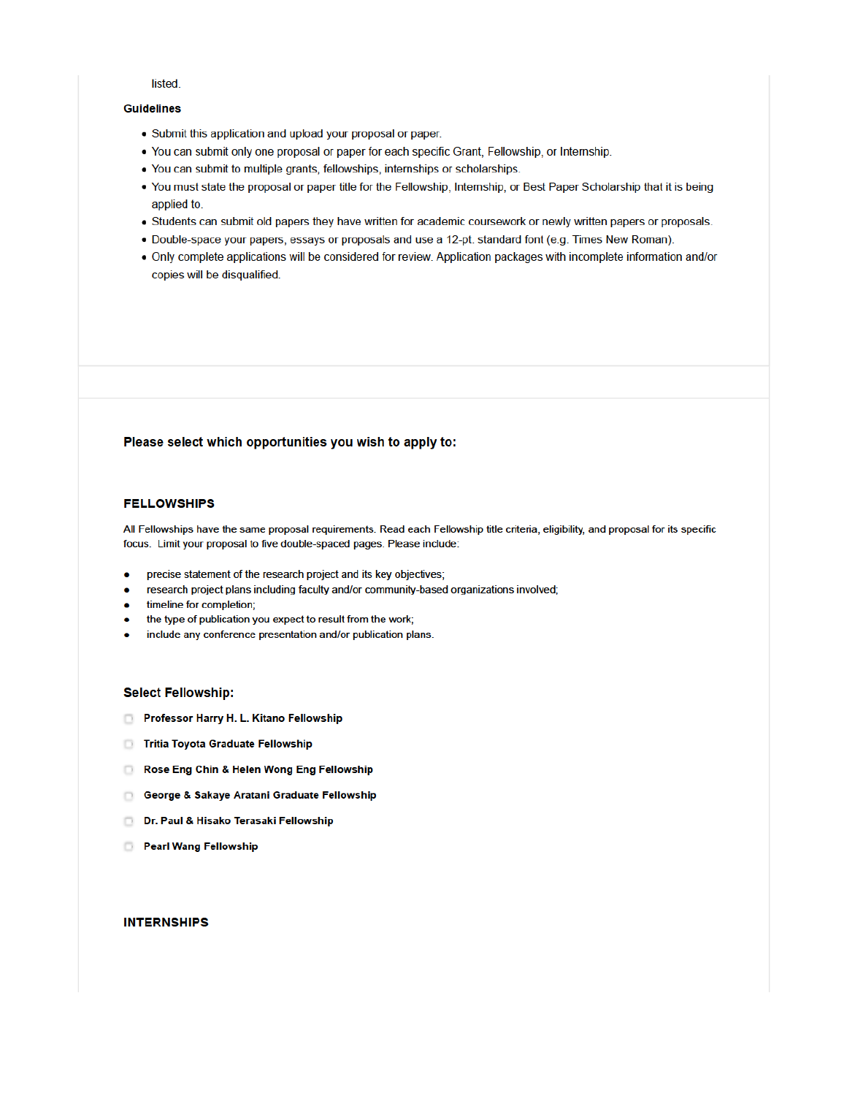#### listed.

#### **Guidelines**

- Submit this application and upload your proposal or paper.
- You can submit only one proposal or paper for each specific Grant, Fellowship, or Internship.
- You can submit to multiple grants, fellowships, internships or scholarships.
- You must state the proposal or paper title for the Fellowship, Internship, or Best Paper Scholarship that it is being applied to.
- Students can submit old papers they have written for academic coursework or newly written papers or proposals.
- · Double-space your papers, essays or proposals and use a 12-pt. standard font (e.g. Times New Roman).
- Only complete applications will be considered for review. Application packages with incomplete information and/or copies will be disqualified.

#### Please select which opportunities you wish to apply to:

#### **FELLOWSHIPS**

All Fellowships have the same proposal requirements. Read each Fellowship title criteria, eligibility, and proposal for its specific focus. Limit your proposal to five double-spaced pages. Please include:

- precise statement of the research project and its key objectives;
- research project plans including faculty and/or community-based organizations involved; ۰
- timeline for completion; ۰
- the type of publication you expect to result from the work;  $\bullet$
- include any conference presentation and/or publication plans.  $\bullet$

#### **Select Fellowship:**

- Professor Harry H. L. Kitano Fellowship
- Tritia Toyota Graduate Fellowship
- Rose Eng Chin & Helen Wong Eng Fellowship
- George & Sakaye Aratani Graduate Fellowship
- Dr. Paul & Hisako Terasaki Fellowship
- **D** Pearl Wang Fellowship

#### **INTERNSHIPS**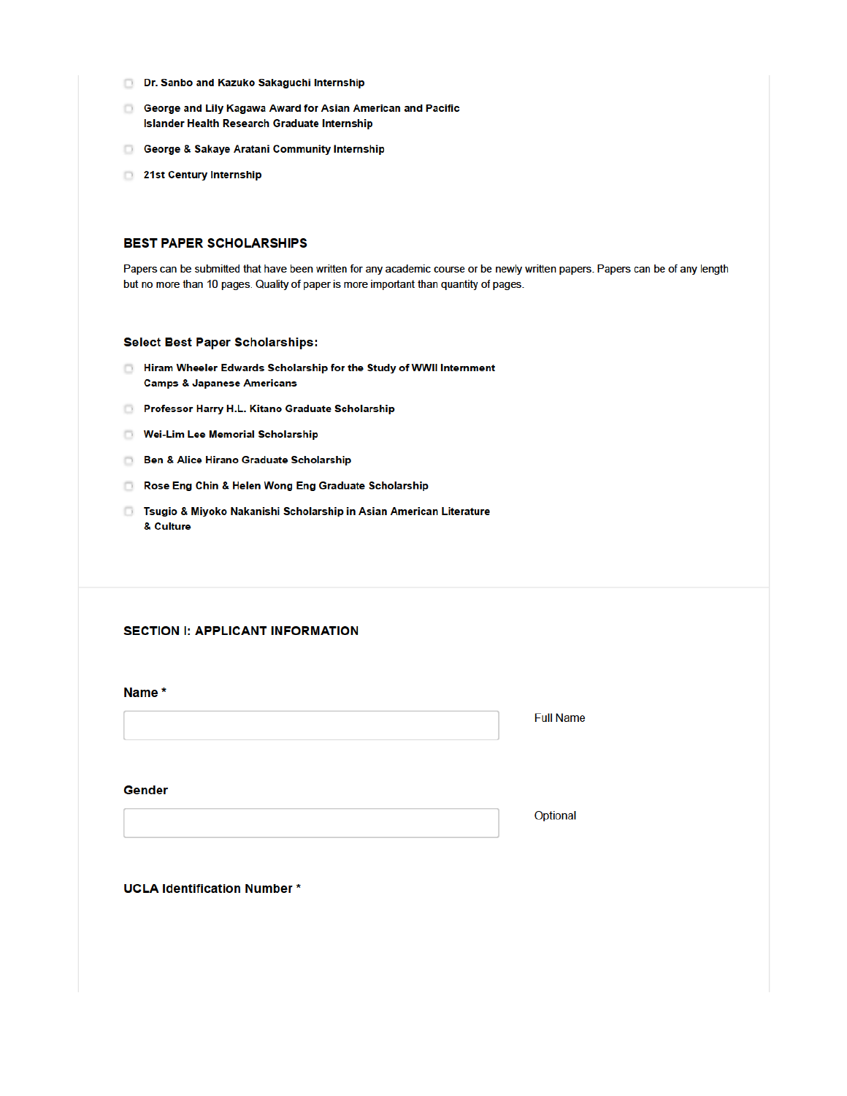- Dr. Sanbo and Kazuko Sakaguchi Internship
- George and Lily Kagawa Award for Asian American and Pacific **Islander Health Research Graduate Internship**
- George & Sakaye Aratani Community Internship
- 21st Century Internship

#### **BEST PAPER SCHOLARSHIPS**

Papers can be submitted that have been written for any academic course or be newly written papers. Papers can be of any length but no more than 10 pages. Quality of paper is more important than quantity of pages.

#### **Select Best Paper Scholarships:**

- Hiram Wheeler Edwards Scholarship for the Study of WWII Internment **Camps & Japanese Americans**
- Professor Harry H.L. Kitano Graduate Scholarship
- Wei-Lim Lee Memorial Scholarship
- Ben & Alice Hirano Graduate Scholarship
- Rose Eng Chin & Helen Wong Eng Graduate Scholarship
- **B** Tsugio & Miyoko Nakanishi Scholarship in Asian American Literature & Culture

#### **SECTION I: APPLICANT INFORMATION**

Name \*

**Full Name** 

Gender

Optional

**UCLA Identification Number\***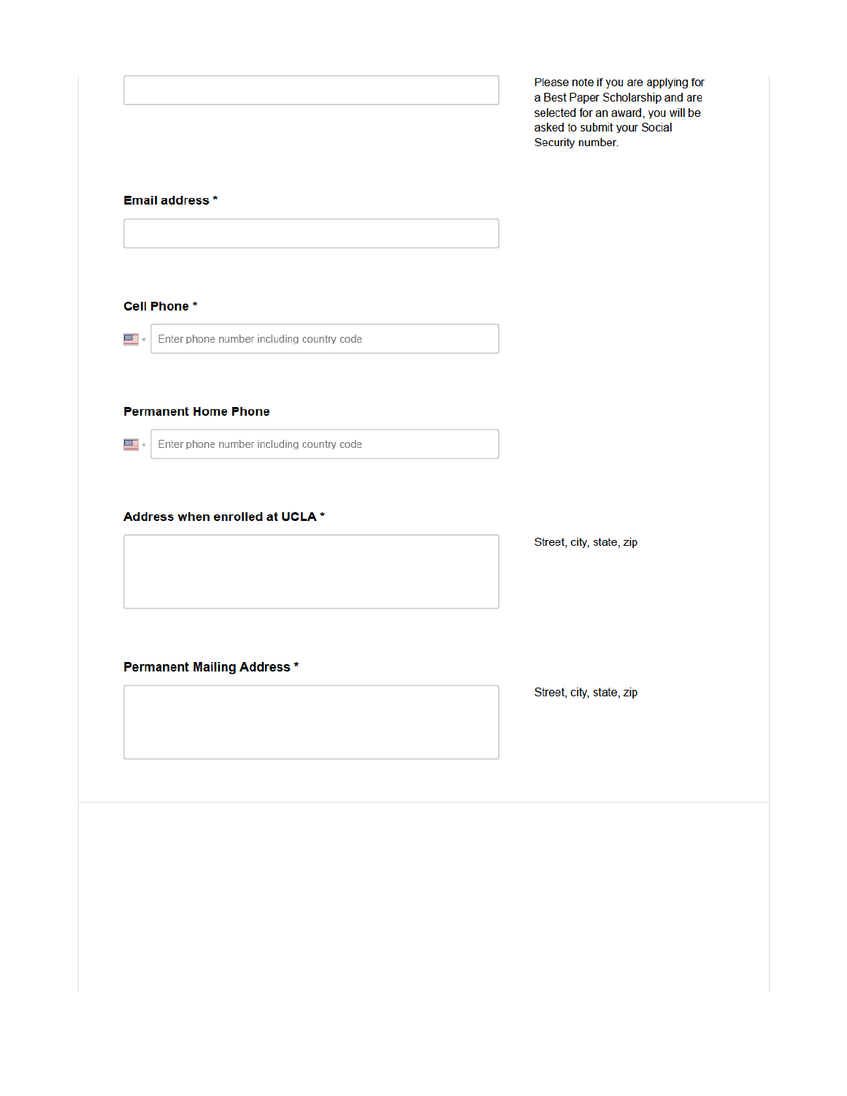Please note if you are applying for a Best Paper Scholarship and are selected for an award, you will be asked to submit your Social Security number.

### Email address \*

Cell Phone\* 28 F Enter phone number including country code **Permanent Home Phone**  $\overline{\text{max}}$  . Enter phone number including country code Address when enrolled at UCLA \*

#### **Permanent Mailing Address \***

Street, city, state, zip

Street, city, state, zip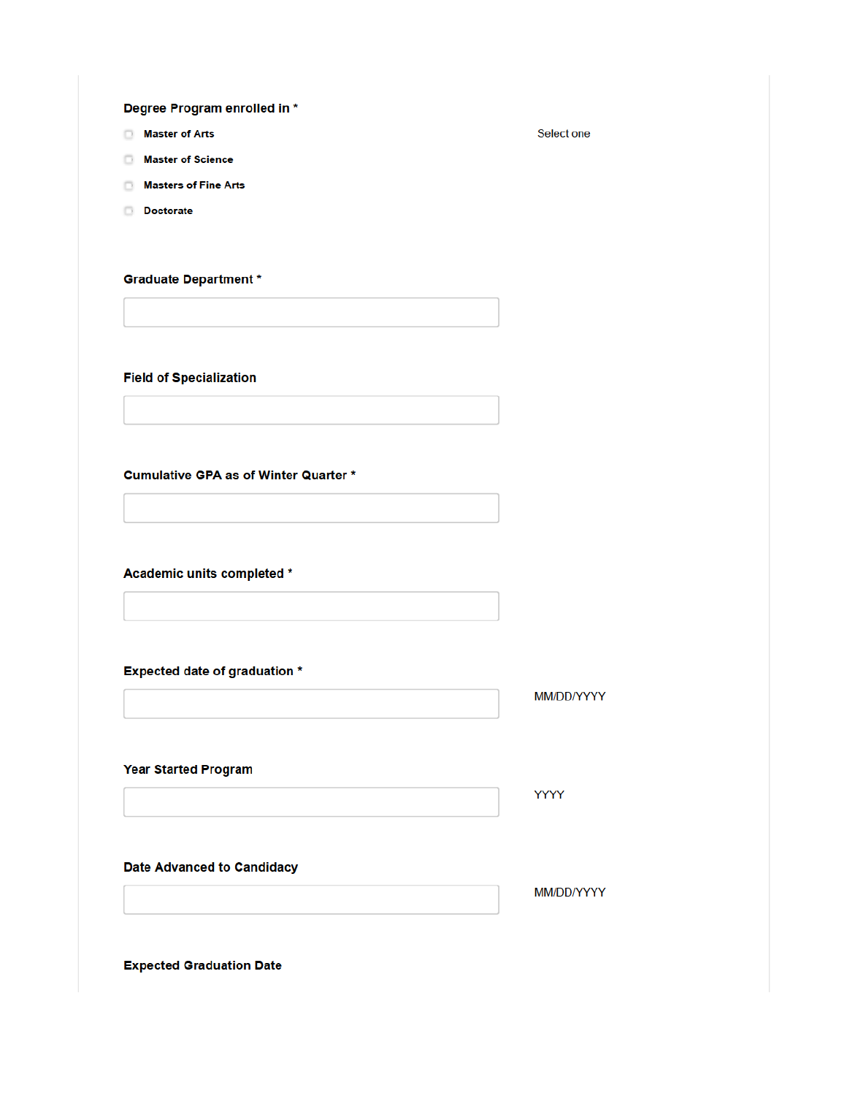Degree Program enrolled in \*

- **Master of Arts**
- **Master of Science**
- Masters of Fine Arts
- **Doctorate**

**Graduate Department \*** 

**Field of Specialization** 

**Cumulative GPA as of Winter Quarter \*** 

Academic units completed \*

**Expected date of graduation \*** 

MM/DD/YYYY

**Year Started Program** 

**YYYY** 

**Date Advanced to Candidacy** 

MM/DD/YYYY

**Expected Graduation Date** 

Select one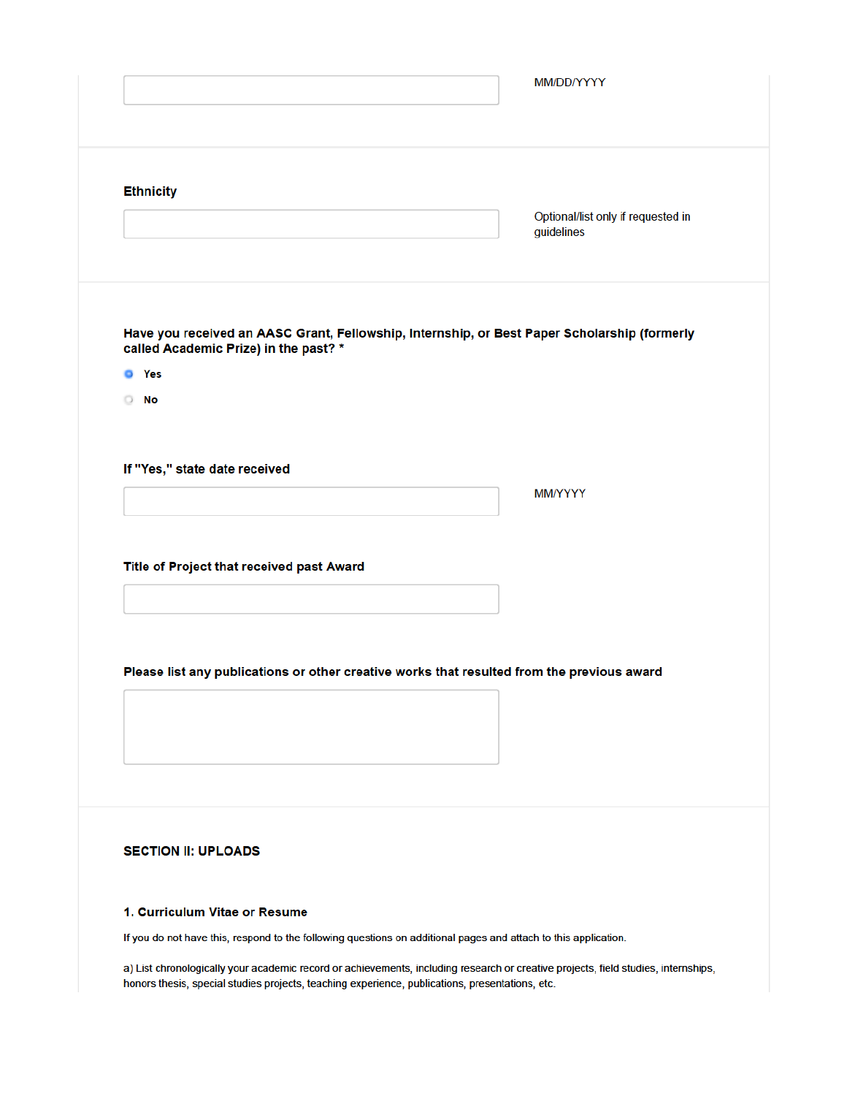| <b>Ethnicity</b>              |                                                                                                                 |                                                                                              |
|-------------------------------|-----------------------------------------------------------------------------------------------------------------|----------------------------------------------------------------------------------------------|
|                               |                                                                                                                 | Optional/list only if requested in<br>guidelines                                             |
|                               |                                                                                                                 |                                                                                              |
|                               |                                                                                                                 |                                                                                              |
|                               |                                                                                                                 |                                                                                              |
|                               | called Academic Prize) in the past? *                                                                           | Have you received an AASC Grant, Fellowship, Internship, or Best Paper Scholarship (formerly |
| <b>O</b> Yes                  |                                                                                                                 |                                                                                              |
| <b>No</b>                     |                                                                                                                 |                                                                                              |
|                               |                                                                                                                 |                                                                                              |
| If "Yes," state date received |                                                                                                                 |                                                                                              |
|                               |                                                                                                                 | MM/YYYY                                                                                      |
|                               |                                                                                                                 |                                                                                              |
|                               |                                                                                                                 |                                                                                              |
|                               |                                                                                                                 |                                                                                              |
|                               | Title of Project that received past Award                                                                       |                                                                                              |
|                               |                                                                                                                 |                                                                                              |
|                               |                                                                                                                 |                                                                                              |
|                               | Please list any publications or other creative works that resulted from the previous award                      |                                                                                              |
|                               |                                                                                                                 |                                                                                              |
|                               |                                                                                                                 |                                                                                              |
|                               |                                                                                                                 |                                                                                              |
|                               |                                                                                                                 |                                                                                              |
|                               |                                                                                                                 |                                                                                              |
| <b>SECTION II: UPLOADS</b>    |                                                                                                                 |                                                                                              |
|                               |                                                                                                                 |                                                                                              |
| 1. Curriculum Vitae or Resume |                                                                                                                 |                                                                                              |
|                               |                                                                                                                 |                                                                                              |
|                               | If you do not have this, respond to the following questions on additional pages and attach to this application. |                                                                                              |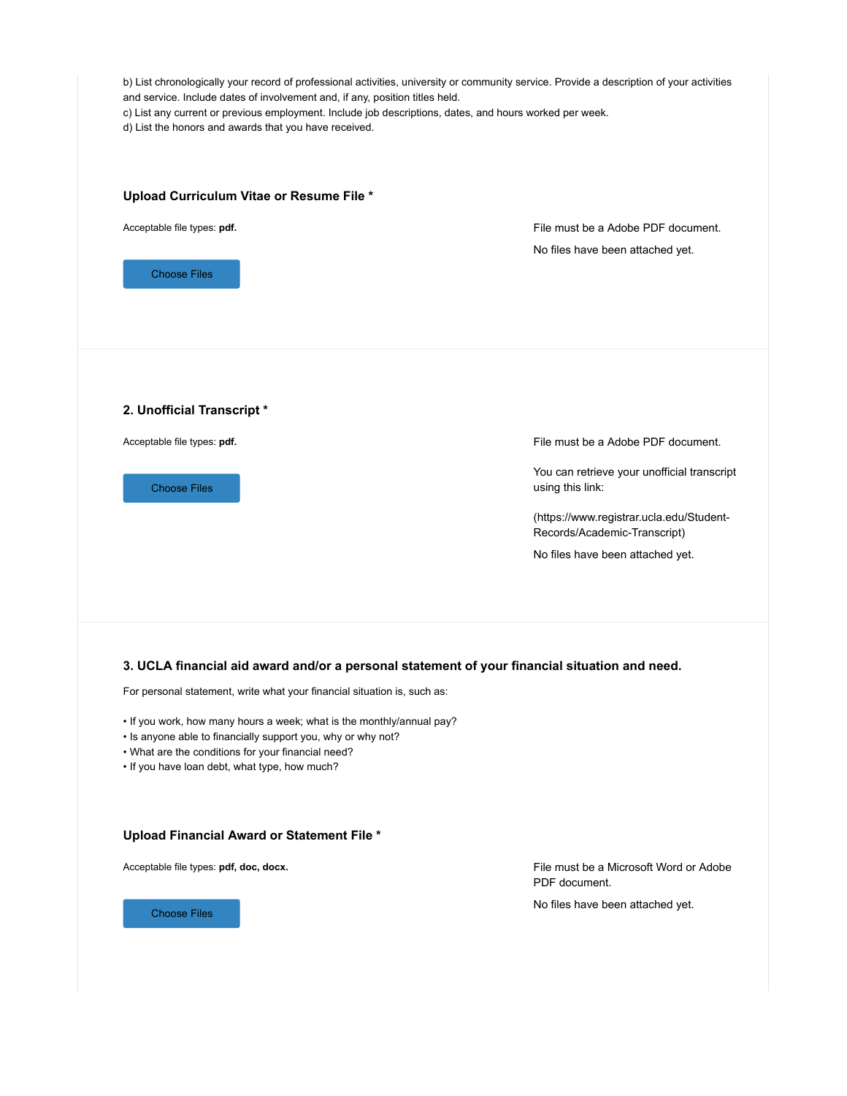| b) List chronologically your record of professional activities, university or community service. Provide a description of your activities<br>and service. Include dates of involvement and, if any, position titles held.<br>c) List any current or previous employment. Include job descriptions, dates, and hours worked per week.<br>d) List the honors and awards that you have received. |                                                                          |  |  |  |
|-----------------------------------------------------------------------------------------------------------------------------------------------------------------------------------------------------------------------------------------------------------------------------------------------------------------------------------------------------------------------------------------------|--------------------------------------------------------------------------|--|--|--|
| Upload Curriculum Vitae or Resume File *                                                                                                                                                                                                                                                                                                                                                      |                                                                          |  |  |  |
| Acceptable file types: pdf.                                                                                                                                                                                                                                                                                                                                                                   | File must be a Adobe PDF document.                                       |  |  |  |
| <b>Choose Files</b>                                                                                                                                                                                                                                                                                                                                                                           | No files have been attached yet.                                         |  |  |  |
| 2. Unofficial Transcript *                                                                                                                                                                                                                                                                                                                                                                    |                                                                          |  |  |  |
| Acceptable file types: pdf.                                                                                                                                                                                                                                                                                                                                                                   | File must be a Adobe PDF document.                                       |  |  |  |
| <b>Choose Files</b>                                                                                                                                                                                                                                                                                                                                                                           | You can retrieve your unofficial transcript<br>using this link:          |  |  |  |
|                                                                                                                                                                                                                                                                                                                                                                                               | (https://www.registrar.ucla.edu/Student-<br>Records/Academic-Transcript) |  |  |  |
|                                                                                                                                                                                                                                                                                                                                                                                               | No files have been attached yet.                                         |  |  |  |
| 3. UCLA financial aid award and/or a personal statement of your financial situation and need.<br>For personal statement, write what your financial situation is, such as:                                                                                                                                                                                                                     |                                                                          |  |  |  |
| . If you work, how many hours a week; what is the monthly/annual pay?<br>• Is anyone able to financially support you, why or why not?<br>• What are the conditions for your financial need?<br>• If you have loan debt, what type, how much?                                                                                                                                                  |                                                                          |  |  |  |
| Upload Financial Award or Statement File *                                                                                                                                                                                                                                                                                                                                                    |                                                                          |  |  |  |
| Acceptable file types: pdf, doc, docx.                                                                                                                                                                                                                                                                                                                                                        | File must be a Microsoft Word or Adobe<br>PDF document.                  |  |  |  |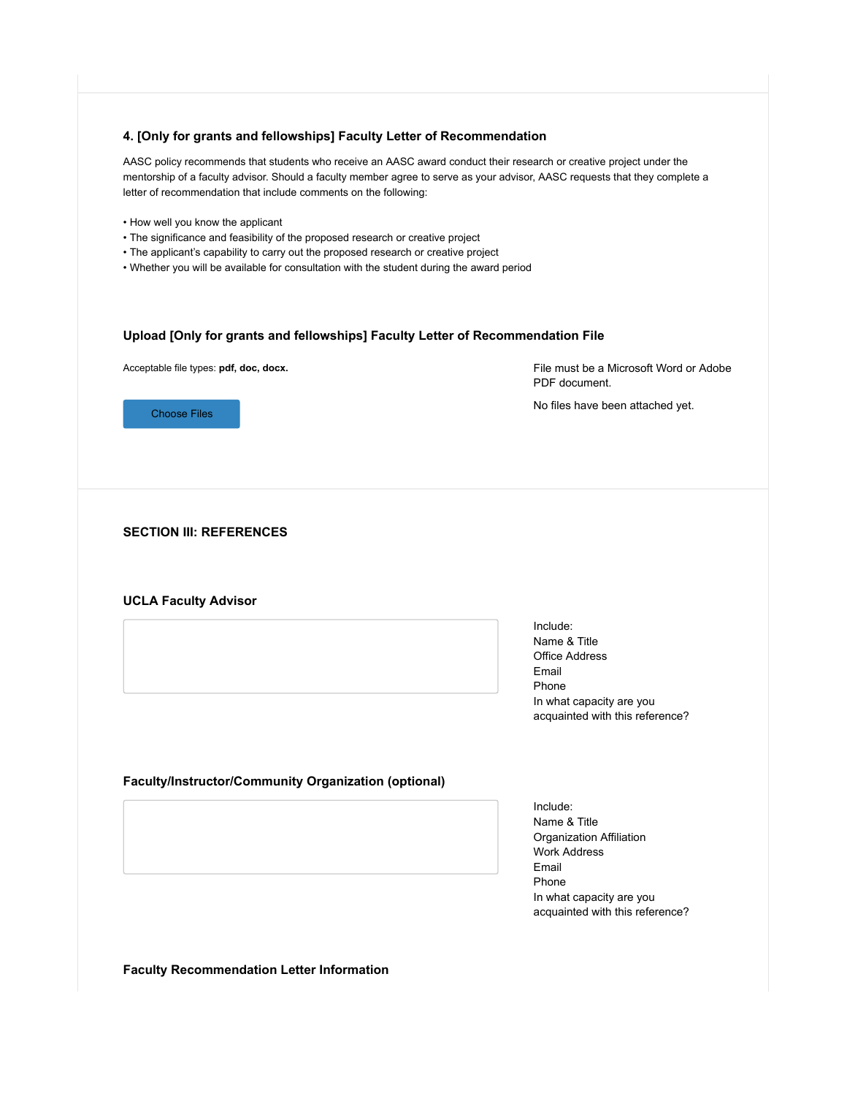#### **4. [Only for grants and fellowships] Faculty Letter of Recommendation**

AASC policy recommends that students who receive an AASC award conduct their research or creative project under the mentorship of a faculty advisor. Should a faculty member agree to serve as your advisor, AASC requests that they complete a letter of recommendation that include comments on the following:

- How well you know the applicant
- The significance and feasibility of the proposed research or creative project
- The applicant's capability to carry out the proposed research or creative project
- Whether you will be available for consultation with the student during the award period

#### **Upload [Only for grants and fellowships] Faculty Letter of Recommendation File**

Acceptable file types: **pdf, doc, docx.**

File must be a Microsoft Word or Adobe PDF document.

No files have been attached yet.

Choose Files

#### **SECTION III: REFERENCES**

#### **UCLA Faculty Advisor**

Include: Name & Title Office Address Email Phone In what capacity are you acquainted with this reference?

#### **Faculty/Instructor/Community Organization (optional)**

Include: Name & Title Organization Affiliation Work Address Email Phone In what capacity are you acquainted with this reference?

**Faculty Recommendation Letter Information**